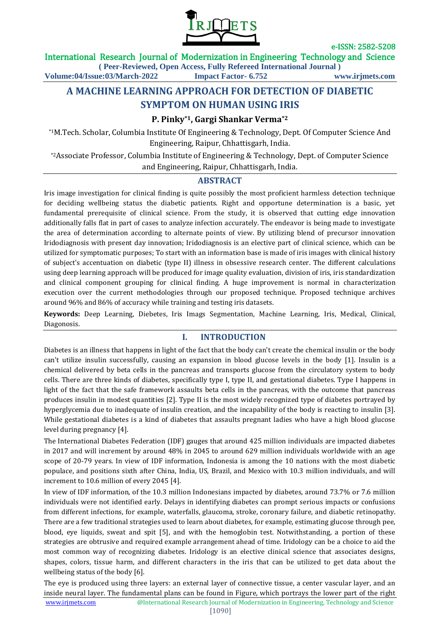

## International Research Journal of Modernization in Engineering Technology and Science

**( Peer-Reviewed, Open Access, Fully Refereed International Journal ) Volume:04/Issue:03/March-2022 Impact Factor- 6.752 www.irjmets.com**

# **A MACHINE LEARNING APPROACH FOR DETECTION OF DIABETIC SYMPTOM ON HUMAN USING IRIS**

## **P. Pinky\*1, Gargi Shankar Verma\*2**

\*1M.Tech. Scholar, Columbia Institute Of Engineering & Technology, Dept. Of Computer Science And Engineering, Raipur, Chhattisgarh, India.

\*2Associate Professor, Columbia Institute of Engineering & Technology, Dept. of Computer Science and Engineering, Raipur, Chhattisgarh, India.

## **ABSTRACT**

Iris image investigation for clinical finding is quite possibly the most proficient harmless detection technique for deciding wellbeing status the diabetic patients. Right and opportune determination is a basic, yet fundamental prerequisite of clinical science. From the study, it is observed that cutting edge innovation additionally falls flat in part of cases to analyze infection accurately. The endeavor is being made to investigate the area of determination according to alternate points of view. By utilizing blend of precursor innovation Iridodiagnosis with present day innovation; Iridodiagnosis is an elective part of clinical science, which can be utilized for symptomatic purposes; To start with an information base is made of iris images with clinical history of subject's accentuation on diabetic (type II) illness in obsessive research center. The different calculations using deep learning approach will be produced for image quality evaluation, division of iris, iris standardization and clinical component grouping for clinical finding. A huge improvement is normal in characterization execution over the current methodologies through our proposed technique. Proposed technique archives around 96% and 86% of accuracy while training and testing iris datasets.

**Keywords:** Deep Learning, Diebetes, Iris Imags Segmentation, Machine Learning, Iris, Medical, Clinical, Diagonosis.

## **I. INTRODUCTION**

Diabetes is an illness that happens in light of the fact that the body can't create the chemical insulin or the body can't utilize insulin successfully, causing an expansion in blood glucose levels in the body [1]. Insulin is a chemical delivered by beta cells in the pancreas and transports glucose from the circulatory system to body cells. There are three kinds of diabetes, specifically type I, type II, and gestational diabetes. Type I happens in light of the fact that the safe framework assaults beta cells in the pancreas, with the outcome that pancreas produces insulin in modest quantities [2]. Type II is the most widely recognized type of diabetes portrayed by hyperglycemia due to inadequate of insulin creation, and the incapability of the body is reacting to insulin [3]. While gestational diabetes is a kind of diabetes that assaults pregnant ladies who have a high blood glucose level during pregnancy [4].

The International Diabetes Federation (IDF) gauges that around 425 million individuals are impacted diabetes in 2017 and will increment by around 48% in 2045 to around 629 million individuals worldwide with an age scope of 20-79 years. In view of IDF information, Indonesia is among the 10 nations with the most diabetic populace, and positions sixth after China, India, US, Brazil, and Mexico with 10.3 million individuals, and will increment to 10.6 million of every 2045 [4].

In view of IDF information, of the 10.3 million Indonesians impacted by diabetes, around 73.7% or 7.6 million individuals were not identified early. Delays in identifying diabetes can prompt serious impacts or confusions from different infections, for example, waterfalls, glaucoma, stroke, coronary failure, and diabetic retinopathy. There are a few traditional strategies used to learn about diabetes, for example, estimating glucose through pee, blood, eye liquids, sweat and spit [5], and with the hemoglobin test. Notwithstanding, a portion of these strategies are obtrusive and required example arrangement ahead of time. Iridology can be a choice to aid the most common way of recognizing diabetes. Iridology is an elective clinical science that associates designs, shapes, colors, tissue harm, and different characters in the iris that can be utilized to get data about the wellbeing status of the body [6].

www.irjmets.com @International Research Journal of Modernization in Engineering, Technology and Science The eye is produced using three layers: an external layer of connective tissue, a center vascular layer, and an inside neural layer. The fundamental plans can be found in Figure, which portrays the lower part of the right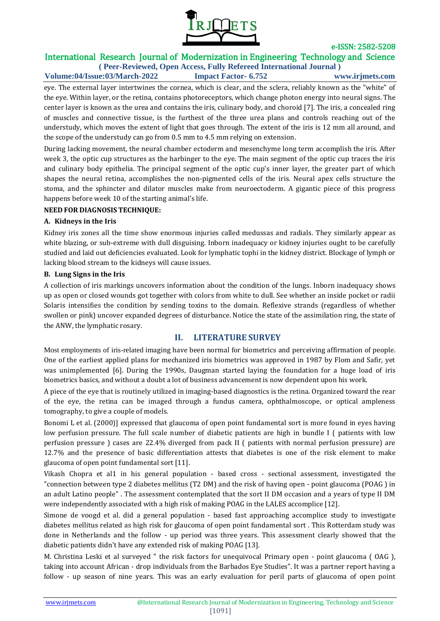

# International Research Journal of Modernization in Engineering Technology and Science

**( Peer-Reviewed, Open Access, Fully Refereed International Journal ) Volume:04/Issue:03/March-2022 Impact Factor- 6.752 www.irjmets.com**

eye. The external layer intertwines the cornea, which is clear, and the sclera, reliably known as the "white" of the eye. Within layer, or the retina, contains photoreceptors, which change photon energy into neural signs. The center layer is known as the urea and contains the iris, culinary body, and choroid [7]. The iris, a concealed ring of muscles and connective tissue, is the furthest of the three urea plans and controls reaching out of the understudy, which moves the extent of light that goes through. The extent of the iris is 12 mm all around, and the scope of the understudy can go from 0.5 mm to 4.5 mm relying on extension.

During lacking movement, the neural chamber ectoderm and mesenchyme long term accomplish the iris. After week 3, the optic cup structures as the harbinger to the eye. The main segment of the optic cup traces the iris and culinary body epithelia. The principal segment of the optic cup's inner layer, the greater part of which shapes the neural retina, accomplishes the non-pigmented cells of the iris. Neural apex cells structure the stoma, and the sphincter and dilator muscles make from neuroectoderm. A gigantic piece of this progress happens before week 10 of the starting animal's life.

## **NEED FOR DIAGNOSIS TECHNIQUE:**

### **A. Kidneys in the Iris**

Kidney iris zones all the time show enormous injuries called medussas and radials. They similarly appear as white blazing, or sub-extreme with dull disguising. Inborn inadequacy or kidney injuries ought to be carefully studied and laid out deficiencies evaluated. Look for lymphatic tophi in the kidney district. Blockage of lymph or lacking blood stream to the kidneys will cause issues.

#### **B. Lung Signs in the Iris**

A collection of iris markings uncovers information about the condition of the lungs. Inborn inadequacy shows up as open or closed wounds got together with colors from white to dull. See whether an inside pocket or radii Solaris intensifies the condition by sending toxins to the domain. Reflexive strands (regardless of whether swollen or pink) uncover expanded degrees of disturbance. Notice the state of the assimilation ring, the state of the ANW, the lymphatic rosary.

## **II. LITERATURE SURVEY**

Most employments of iris-related imaging have been normal for biometrics and perceiving affirmation of people. One of the earliest applied plans for mechanized iris biometrics was approved in 1987 by Flom and Safir, yet was unimplemented [6]. During the 1990s, Daugman started laying the foundation for a huge load of iris biometrics basics, and without a doubt a lot of business advancement is now dependent upon his work.

A piece of the eye that is routinely utilized in imaging-based diagnostics is the retina. Organized toward the rear of the eye, the retina can be imaged through a fundus camera, ophthalmoscope, or optical ampleness tomography, to give a couple of models.

Bonomi L et al. (2000)] expressed that glaucoma of open point fundamental sort is more found in eyes having low perfusion pressure. The full scale number of diabetic patients are high in bundle I ( patients with low perfusion pressure ) cases are 22.4% diverged from pack II ( patients with normal perfusion pressure) are 12.7% and the presence of basic differentiation attests that diabetes is one of the risk element to make glaucoma of open point fundamental sort [11].

Vikash Chopra et al1 in his general population - based cross - sectional assessment, investigated the "connection between type 2 diabetes mellitus (T2 DM) and the risk of having open - point glaucoma (POAG ) in an adult Latino people" . The assessment contemplated that the sort II DM occasion and a years of type II DM were independently associated with a high risk of making POAG in the LALES accomplice [12].

Simone de voogd et al. did a general population - based fast approaching accomplice study to investigate diabetes mellitus related as high risk for glaucoma of open point fundamental sort . This Rotterdam study was done in Netherlands and the follow - up period was three years. This assessment clearly showed that the diabetic patients didn't have any extended risk of making POAG [13].

M. Christina Leski et al surveyed " the risk factors for unequivocal Primary open - point glaucoma ( OAG ), taking into account African - drop individuals from the Barbados Eye Studies". It was a partner report having a follow - up season of nine years. This was an early evaluation for peril parts of glaucoma of open point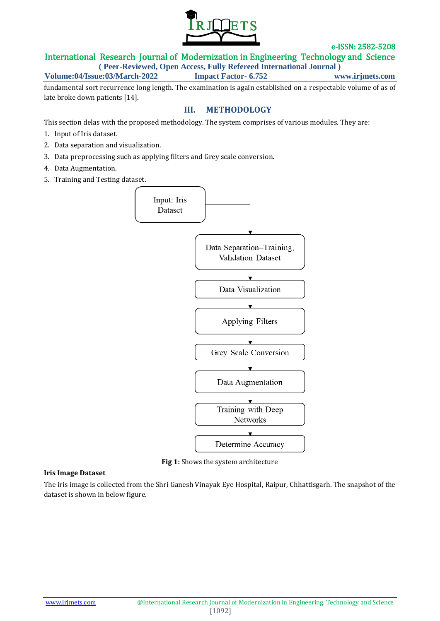

## International Research Journal of Modernization in Engineering Technology and Science

**( Peer-Reviewed, Open Access, Fully Refereed International Journal )**

**Volume:04/Issue:03/March-2022 Impact Factor- 6.752 www.irjmets.com**

fundamental sort recurrence long length. The examination is again established on a respectable volume of as of late broke down patients [14].

## **III. METHODOLOGY**

This section delas with the proposed methodology. The system comprises of various modules. They are:

- 1. Input of Iris dataset.
- 2. Data separation and visualization.
- 3. Data preprocessing such as applying filters and Grey scale conversion.
- 4. Data Augmentation.
- 5. Training and Testing dataset.



**Fig 1:** Shows the system architecture

#### **Iris Image Dataset**

The iris image is collected from the Shri Ganesh Vinayak Eye Hospital, Raipur, Chhattisgarh. The snapshot of the dataset is shown in below figure.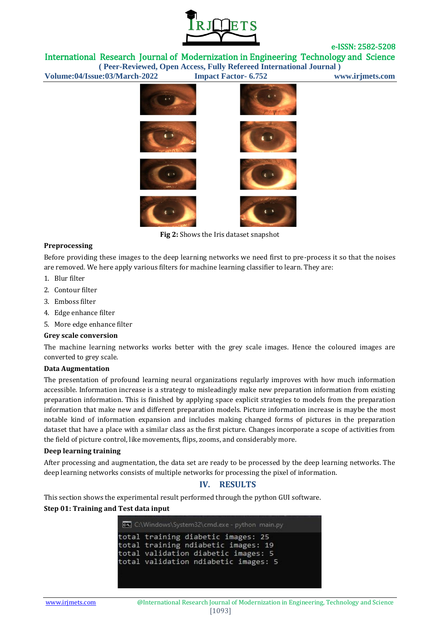

International Research Journal of Modernization in Engineering Technology and Science

**( Peer-Reviewed, Open Access, Fully Refereed International Journal )**



**Fig 2:** Shows the Iris dataset snapshot

### **Preprocessing**

Before providing these images to the deep learning networks we need first to pre-process it so that the noises are removed. We here apply various filters for machine learning classifier to learn. They are:

- 1. Blur filter
- 2. Contour filter
- 3. Emboss filter
- 4. Edge enhance filter
- 5. More edge enhance filter

#### **Grey scale conversion**

The machine learning networks works better with the grey scale images. Hence the coloured images are converted to grey scale.

#### **Data Augmentation**

The presentation of profound learning neural organizations regularly improves with how much information accessible. Information increase is a strategy to misleadingly make new preparation information from existing preparation information. This is finished by applying space explicit strategies to models from the preparation information that make new and different preparation models. Picture information increase is maybe the most notable kind of information expansion and includes making changed forms of pictures in the preparation dataset that have a place with a similar class as the first picture. Changes incorporate a scope of activities from the field of picture control, like movements, flips, zooms, and considerably more.

#### **Deep learning training**

After processing and augmentation, the data set are ready to be processed by the deep learning networks. The deep learning networks consists of multiple networks for processing the pixel of information.

## **IV. RESULTS**

This section shows the experimental result performed through the python GUI software.

#### **Step 01: Training and Test data input**

C:\Windows\System32\cmd.exe - python main.py total training diabetic images: 25 total training ndiabetic images: 19 total validation diabetic images: 5 total validation ndiabetic images: 5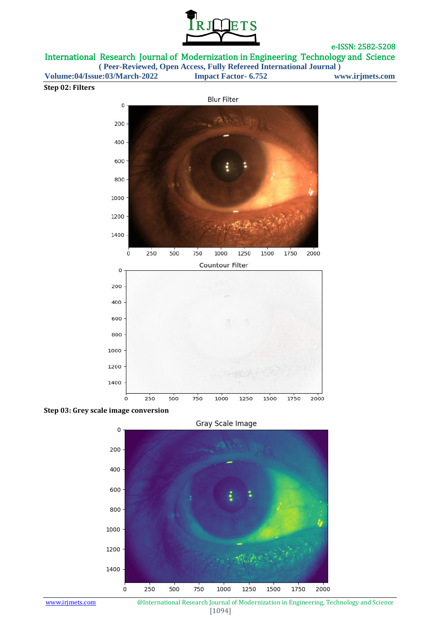

International Research Journal of Modernization in Engineering Technology and Science

**( Peer-Reviewed, Open Access, Fully Refereed International Journal )**

**Volume:04/Issue:03/March-2022 Impact Factor- 6.752 www.irjmets.com**

### **Step 02: Filters**







www.irjmets.com **@International Research Journal of Modernization in Engineering, Technology and Science** [1094]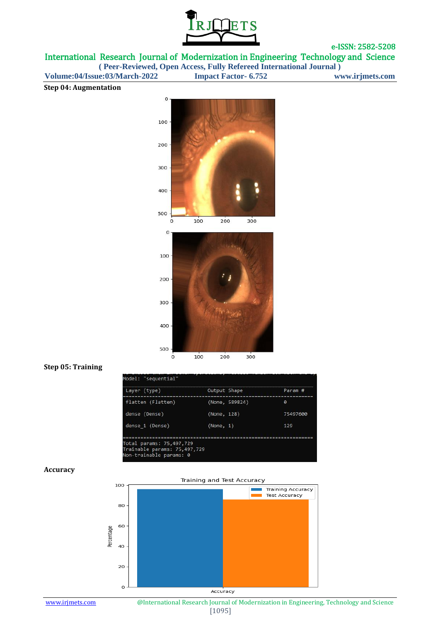

International Research Journal of Modernization in Engineering Technology and Science

**( Peer-Reviewed, Open Access, Fully Refereed International Journal )**

**Volume:04/Issue:03/March-2022 Impact Factor- 6.752 www.irjmets.com**

### **Step 04: Augmentation**



#### **Step 05: Training**

| 75497600 |
|----------|
| 129      |
|          |

#### **Accuracy**